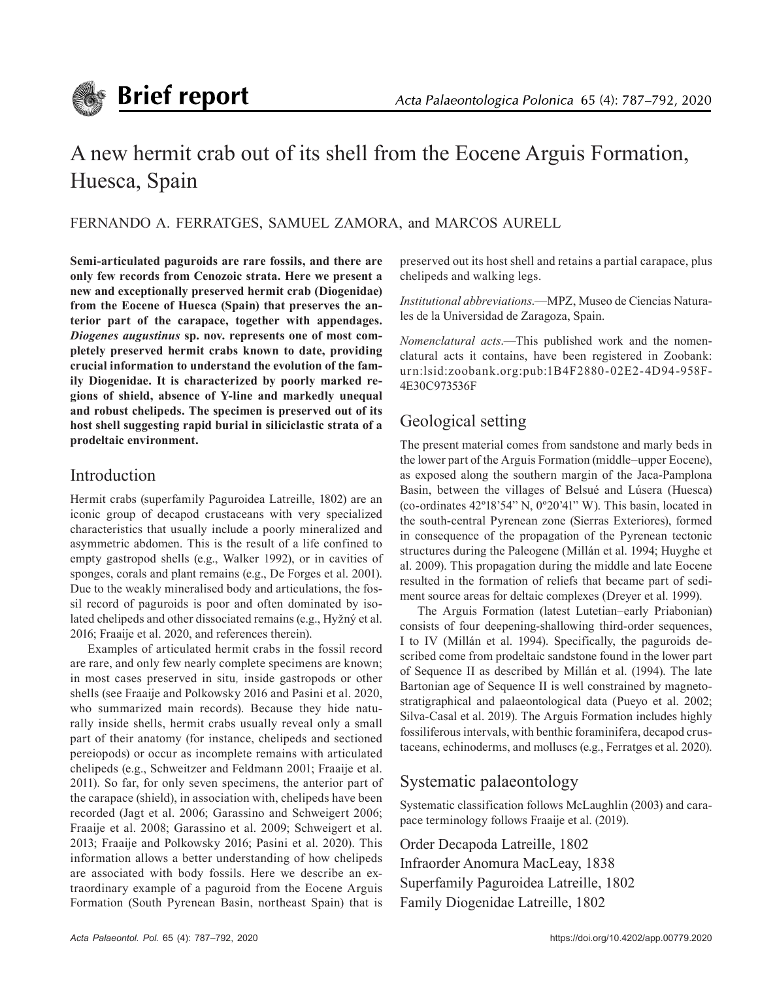

# A new hermit crab out of its shell from the Eocene Arguis Formation, Huesca, Spain

FERNANDO A. FERRATGES, SAMUEL ZAMORA, and MARCOS AURELL

**Semi-articulated paguroids are rare fossils, and there are only few records from Cenozoic strata. Here we present a new and exceptionally preserved hermit crab (Diogenidae) from the Eocene of Huesca (Spain) that preserves the anterior part of the carapace, together with appendages.**  *Diogenes augustinus* **sp. nov. represents one of most completely preserved hermit crabs known to date, providing crucial information to understand the evolution of the family Diogenidae. It is characterized by poorly marked regions of shield, absence of Y-line and markedly unequal and robust chelipeds. The specimen is preserved out of its host shell suggesting rapid burial in siliciclastic strata of a prodeltaic environment.**

## Introduction

Hermit crabs (superfamily Paguroidea Latreille, 1802) are an iconic group of decapod crustaceans with very specialized characteristics that usually include a poorly mineralized and asymmetric abdomen. This is the result of a life confined to empty gastropod shells (e.g., Walker 1992), or in cavities of sponges, corals and plant remains (e.g., De Forges et al. 2001). Due to the weakly mineralised body and articulations, the fossil record of paguroids is poor and often dominated by isolated chelipeds and other dissociated remains (e.g., Hyžný et al. 2016; Fraaije et al. 2020, and references therein).

Examples of articulated hermit crabs in the fossil record are rare, and only few nearly complete specimens are known; in most cases preserved in situ*,* inside gastropods or other shells (see Fraaije and Polkowsky 2016 and Pasini et al. 2020, who summarized main records). Because they hide naturally inside shells, hermit crabs usually reveal only a small part of their anatomy (for instance, chelipeds and sectioned pereiopods) or occur as incomplete remains with articulated chelipeds (e.g., Schweitzer and Feldmann 2001; Fraaije et al. 2011). So far, for only seven specimens, the anterior part of the carapace (shield), in association with, chelipeds have been recorded (Jagt et al. 2006; Garassino and Schweigert 2006; Fraaije et al. 2008; Garassino et al. 2009; Schweigert et al. 2013; Fraaije and Polkowsky 2016; Pasini et al. 2020). This information allows a better understanding of how chelipeds are associated with body fossils. Here we describe an extraordinary example of a paguroid from the Eocene Arguis Formation (South Pyrenean Basin, northeast Spain) that is

preserved out its host shell and retains a partial carapace, plus chelipeds and walking legs.

*Institutional abbreviations*.—MPZ, Museo de Ciencias Naturales de la Universidad de Zaragoza, Spain.

*Nomenclatural acts*.—This published work and the nomenclatural acts it contains, have been registered in Zoobank: urn:lsid:zoobank.org:pub:1B4F2880-02E2-4D94-958F-4E30C973536F

# Geological setting

The present material comes from sandstone and marly beds in the lower part of the Arguis Formation (middle–upper Eocene), as exposed along the southern margin of the Jaca-Pamplona Basin, between the villages of Belsué and Lúsera (Huesca) (co-ordinates 42º18'54" N, 0º20'41" W). This basin, located in the south-central Pyrenean zone (Sierras Exteriores), formed in consequence of the propagation of the Pyrenean tectonic structures during the Paleogene (Millán et al. 1994; Huyghe et al. 2009). This propagation during the middle and late Eocene resulted in the formation of reliefs that became part of sediment source areas for deltaic complexes (Dreyer et al. 1999).

The Arguis Formation (latest Lutetian–early Priabonian) consists of four deepening-shallowing third-order sequences, I to IV (Millán et al. 1994). Specifically, the paguroids described come from prodeltaic sandstone found in the lower part of Sequence II as described by Millán et al. (1994). The late Bartonian age of Sequence II is well constrained by magnetostratigraphical and palaeontological data (Pueyo et al. 2002; Silva-Casal et al. 2019). The Arguis Formation includes highly fossiliferous intervals, with benthic foraminifera, decapod crustaceans, echinoderms, and molluscs (e.g., Ferratges et al. 2020).

# Systematic palaeontology

Systematic classification follows McLaughlin (2003) and carapace terminology follows Fraaije et al. (2019).

Order Decapoda Latreille, 1802 Infraorder Anomura MacLeay, 1838 Superfamily Paguroidea Latreille, 1802 Family Diogenidae Latreille, 1802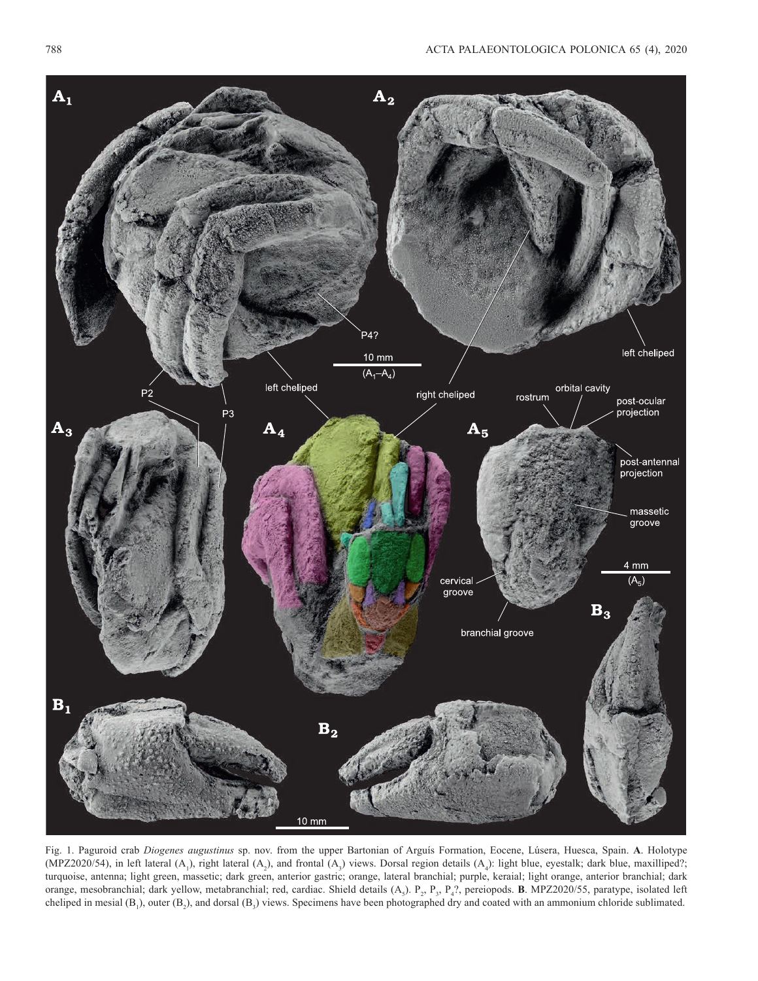

Fig. 1. Paguroid crab *Diogenes augustinus* sp. nov. from the upper Bartonian of Arguís Formation, Eocene, Lúsera, Huesca, Spain. **A**. Holotype (MPZ2020/54), in left lateral  $(A_1)$ , right lateral  $(A_2)$ , and frontal  $(A_3)$  views. Dorsal region details  $(A_4)$ : light blue, eyestalk; dark blue, maxilliped?; turquoise, antenna; light green, massetic; dark green, anterior gastric; orange, lateral branchial; purple, keraial; light orange, anterior branchial; dark orange, mesobranchial; dark yellow, metabranchial; red, cardiac. Shield details (A<sub>5</sub>). P<sub>2</sub>, P<sub>3</sub>, P<sub>4</sub>?, pereiopods. **B**. MPZ2020/55, paratype, isolated left cheliped in mesial  $(B_1)$ , outer  $(B_2)$ , and dorsal  $(B_3)$  views. Specimens have been photographed dry and coated with an ammonium chloride sublimated.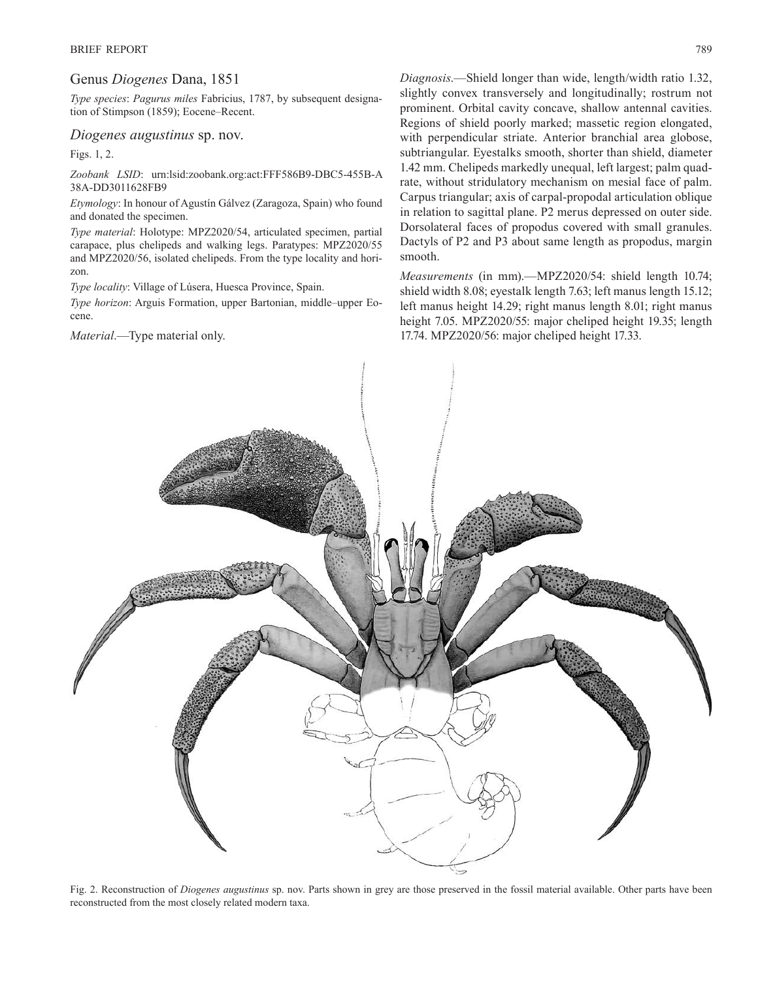#### Genus *Diogenes* Dana, 1851

*Type species*: *Pagurus miles* Fabricius, 1787, by subsequent designation of Stimpson (1859); Eocene–Recent.

#### *Diogenes augustinus* sp. nov.

Figs. 1, 2.

*Zoobank LSID*: urn:lsid:zoobank.org:act:FFF586B9-DBC5-455B-A 38A-DD3011628FB9

*Etymology*: In honour of Agustín Gálvez (Zaragoza, Spain) who found and donated the specimen.

*Type material*: Holotype: MPZ2020/54, articulated specimen, partial carapace, plus chelipeds and walking legs. Paratypes: MPZ2020/55 and MPZ2020/56, isolated chelipeds. From the type locality and horizon.

*Type locality*: Village of Lúsera, Huesca Province, Spain.

*Type horizon*: Arguis Formation, upper Bartonian, middle–upper Eocene.

*Material*.—Type material only.

*Diagnosis*.—Shield longer than wide, length/width ratio 1.32, slightly convex transversely and longitudinally; rostrum not prominent. Orbital cavity concave, shallow antennal cavities. Regions of shield poorly marked; massetic region elongated, with perpendicular striate. Anterior branchial area globose, subtriangular. Eyestalks smooth, shorter than shield, diameter 1.42 mm. Chelipeds markedly unequal, left largest; palm quadrate, without stridulatory mechanism on mesial face of palm. Carpus triangular; axis of carpal-propodal articulation oblique in relation to sagittal plane. P2 merus depressed on outer side. Dorsolateral faces of propodus covered with small granules. Dactyls of P2 and P3 about same length as propodus, margin smooth.

*Measurements* (in mm).—MPZ2020/54: shield length 10.74; shield width 8.08; eyestalk length 7.63; left manus length 15.12; left manus height 14.29; right manus length 8.01; right manus height 7.05. MPZ2020/55: major cheliped height 19.35; length 17.74. MPZ2020/56: major cheliped height 17.33.



reconstructed from the most closely related modern taxa.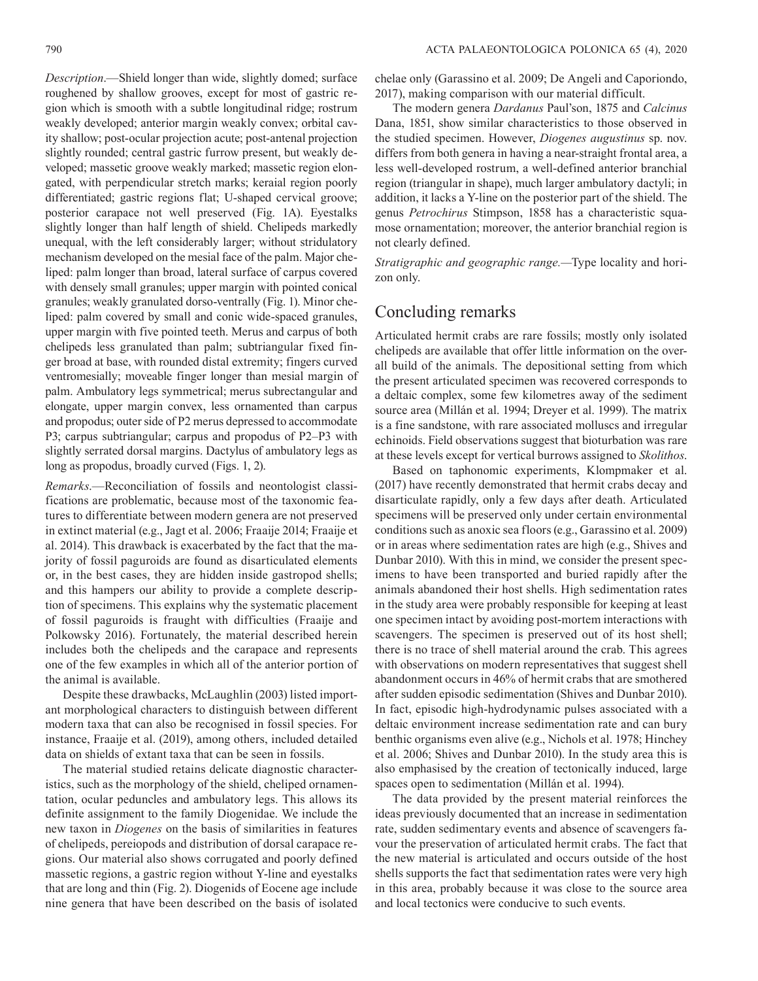*Description*.—Shield longer than wide, slightly domed; surface roughened by shallow grooves, except for most of gastric region which is smooth with a subtle longitudinal ridge; rostrum weakly developed; anterior margin weakly convex; orbital cavity shallow; post-ocular projection acute; post-antenal projection slightly rounded; central gastric furrow present, but weakly developed; massetic groove weakly marked; massetic region elongated, with perpendicular stretch marks; keraial region poorly differentiated; gastric regions flat; U-shaped cervical groove; posterior carapace not well preserved (Fig. 1A). Eyestalks slightly longer than half length of shield. Chelipeds markedly unequal, with the left considerably larger; without stridulatory mechanism developed on the mesial face of the palm. Major cheliped: palm longer than broad, lateral surface of carpus covered with densely small granules; upper margin with pointed conical granules; weakly granulated dorso-ventrally (Fig. 1). Minor cheliped: palm covered by small and conic wide-spaced granules, upper margin with five pointed teeth. Merus and carpus of both chelipeds less granulated than palm; subtriangular fixed finger broad at base, with rounded distal extremity; fingers curved ventromesially; moveable finger longer than mesial margin of palm. Ambulatory legs symmetrical; merus subrectangular and elongate, upper margin convex, less ornamented than carpus and propodus; outer side of P2 merus depressed to accommodate P3; carpus subtriangular; carpus and propodus of P2–P3 with slightly serrated dorsal margins. Dactylus of ambulatory legs as long as propodus, broadly curved (Figs. 1, 2).

*Remarks*.—Reconciliation of fossils and neontologist classifications are problematic, because most of the taxonomic features to differentiate between modern genera are not preserved in extinct material (e.g., Jagt et al. 2006; Fraaije 2014; Fraaije et al. 2014). This drawback is exacerbated by the fact that the majority of fossil paguroids are found as disarticulated elements or, in the best cases, they are hidden inside gastropod shells; and this hampers our ability to provide a complete description of specimens. This explains why the systematic placement of fossil paguroids is fraught with difficulties (Fraaije and Polkowsky 2016). Fortunately, the material described herein includes both the chelipeds and the carapace and represents one of the few examples in which all of the anterior portion of the animal is available.

Despite these drawbacks, McLaughlin (2003) listed important morphological characters to distinguish between different modern taxa that can also be recognised in fossil species. For instance, Fraaije et al. (2019), among others, included detailed data on shields of extant taxa that can be seen in fossils.

The material studied retains delicate diagnostic characteristics, such as the morphology of the shield, cheliped ornamentation, ocular peduncles and ambulatory legs. This allows its definite assignment to the family Diogenidae. We include the new taxon in *Diogenes* on the basis of similarities in features of chelipeds, pereiopods and distribution of dorsal carapace regions. Our material also shows corrugated and poorly defined massetic regions, a gastric region without Y-line and eyestalks that are long and thin (Fig. 2). Diogenids of Eocene age include nine genera that have been described on the basis of isolated chelae only (Garassino et al. 2009; De Angeli and Caporiondo, 2017), making comparison with our material difficult.

The modern genera *Dardanus* Paul'son, 1875 and *Calcinus* Dana, 1851, show similar characteristics to those observed in the studied specimen. However, *Diogenes augustinus* sp. nov. differs from both genera in having a near-straight frontal area, a less well-developed rostrum, a well-defined anterior branchial region (triangular in shape), much larger ambulatory dactyli; in addition, it lacks a Y-line on the posterior part of the shield. The genus *Petrochirus* Stimpson, 1858 has a characteristic squamose ornamentation; moreover, the anterior branchial region is not clearly defined.

*Stratigraphic and geographic range.—*Type locality and horizon only.

# Concluding remarks

Articulated hermit crabs are rare fossils; mostly only isolated chelipeds are available that offer little information on the overall build of the animals. The depositional setting from which the present articulated specimen was recovered corresponds to a deltaic complex, some few kilometres away of the sediment source area (Millán et al. 1994; Dreyer et al. 1999). The matrix is a fine sandstone, with rare associated molluscs and irregular echinoids. Field observations suggest that bioturbation was rare at these levels except for vertical burrows assigned to *Skolithos*.

Based on taphonomic experiments, Klompmaker et al. (2017) have recently demonstrated that hermit crabs decay and disarticulate rapidly, only a few days after death. Articulated specimens will be preserved only under certain environmental conditions such as anoxic sea floors (e.g., Garassino et al. 2009) or in areas where sedimentation rates are high (e.g., Shives and Dunbar 2010). With this in mind, we consider the present specimens to have been transported and buried rapidly after the animals abandoned their host shells. High sedimentation rates in the study area were probably responsible for keeping at least one specimen intact by avoiding post-mortem interactions with scavengers. The specimen is preserved out of its host shell; there is no trace of shell material around the crab. This agrees with observations on modern representatives that suggest shell abandonment occurs in 46% of hermit crabs that are smothered after sudden episodic sedimentation (Shives and Dunbar 2010). In fact, episodic high-hydrodynamic pulses associated with a deltaic environment increase sedimentation rate and can bury benthic organisms even alive (e.g., Nichols et al. 1978; Hinchey et al. 2006; Shives and Dunbar 2010). In the study area this is also emphasised by the creation of tectonically induced, large spaces open to sedimentation (Millán et al. 1994).

The data provided by the present material reinforces the ideas previously documented that an increase in sedimentation rate, sudden sedimentary events and absence of scavengers favour the preservation of articulated hermit crabs. The fact that the new material is articulated and occurs outside of the host shells supports the fact that sedimentation rates were very high in this area, probably because it was close to the source area and local tectonics were conducive to such events.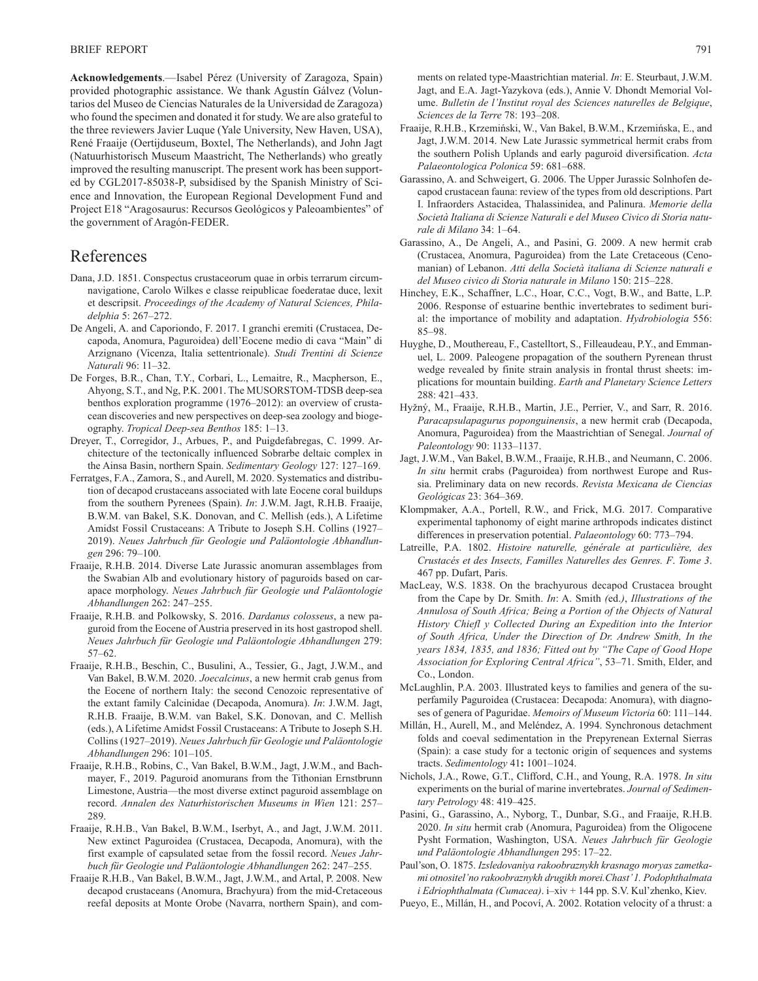**Acknowledgements**.—Isabel Pérez (University of Zaragoza, Spain) provided photographic assistance. We thank Agustín Gálvez (Voluntarios del Museo de Ciencias Naturales de la Universidad de Zaragoza) who found the specimen and donated it for study. We are also grateful to the three reviewers Javier Luque (Yale University, New Haven, USA), René Fraaije (Oertijduseum, Boxtel, The Netherlands), and John Jagt (Natuurhistorisch Museum Maastricht, The Netherlands) who greatly improved the resulting manuscript. The present work has been supported by CGL2017-85038-P, subsidised by the Spanish Ministry of Science and Innovation, the European Regional Development Fund and Project E18 "Aragosaurus: Recursos Geológicos y Paleoambientes" of the government of Aragón-FEDER.

### References

- Dana, J.D. 1851. Conspectus crustaceorum quae in orbis terrarum circumnavigatione, Carolo Wilkes e classe reipublicae foederatae duce, lexit et descripsit. *Proceedings of the Academy of Natural Sciences, Philadelphia* 5: 267–272.
- De Angeli, A. and Caporiondo, F. 2017. I granchi eremiti (Crustacea, Decapoda, Anomura, Paguroidea) dell'Eocene medio di cava "Main" di Arzignano (Vicenza, Italia settentrionale). *Studi Trentini di Scienze Naturali* 96: 11–32.
- De Forges, B.R., Chan, T.Y., Corbari, L., Lemaitre, R., Macpherson, E., Ahyong, S.T., and Ng, P.K. 2001. The MUSORSTOM-TDSB deep-sea benthos exploration programme (1976–2012): an overview of crustacean discoveries and new perspectives on deep-sea zoology and biogeography. *Tropical Deep-sea Benthos* 185: 1–13.
- Dreyer, T., Corregidor, J., Arbues, P., and Puigdefabregas, C. 1999. Architecture of the tectonically influenced Sobrarbe deltaic complex in the Ainsa Basin, northern Spain. *Sedimentary Geology* 127: 127–169.
- Ferratges, F.A., Zamora, S., and Aurell, M. 2020. Systematics and distribution of decapod crustaceans associated with late Eocene coral buildups from the southern Pyrenees (Spain). *In*: J.W.M. Jagt, R.H.B. Fraaije, B.W.M. van Bakel, S.K. Donovan, and C. Mellish (eds.), A Lifetime Amidst Fossil Crustaceans: A Tribute to Joseph S.H. Collins (1927– 2019). *Neues Jahrbuch für Geologie und Paläontologie Abhandlungen* 296: 79–100.
- Fraaije, R.H.B. 2014. Diverse Late Jurassic anomuran assemblages from the Swabian Alb and evolutionary history of paguroids based on carapace morphology. *Neues Jahrbuch für Geologie und Paläontologie Abhandlungen* 262: 247–255.
- Fraaije, R.H.B. and Polkowsky, S. 2016. *Dardanus colosseus*, a new paguroid from the Eocene of Austria preserved in its host gastropod shell. *Neues Jahrbuch für Geologie und Paläontologie Abhandlungen* 279: 57–62.
- Fraaije, R.H.B., Beschin, C., Busulini, A., Tessier, G., Jagt, J.W.M., and Van Bakel, B.W.M. 2020. *Joecalcinus*, a new hermit crab genus from the Eocene of northern Italy: the second Cenozoic representative of the extant family Calcinidae (Decapoda, Anomura). *In*: J.W.M. Jagt, R.H.B. Fraaije, B.W.M. van Bakel, S.K. Donovan, and C. Mellish (eds.), A Lifetime Amidst Fossil Crustaceans: A Tribute to Joseph S.H. Collins (1927–2019). *Neues Jahrbuch für Geologie und Paläontologie Abhandlungen* 296: 101–105.
- Fraaije, R.H.B., Robins, C., Van Bakel, B.W.M., Jagt, J.W.M., and Bachmayer, F., 2019. Paguroid anomurans from the Tithonian Ernstbrunn Limestone, Austria—the most diverse extinct paguroid assemblage on record. *Annalen des Naturhistorischen Museums in Wien* 121: 257– 289.
- Fraaije, R.H.B., Van Bakel, B.W.M., Iserbyt, A., and Jagt, J.W.M. 2011. New extinct Paguroidea (Crustacea, Decapoda, Anomura), with the first example of capsulated setae from the fossil record. *Neues Jahrbuch für Geologie und Paläontologie Abhandlungen* 262: 247–255.
- Fraaije R.H.B., Van Bakel, B.W.M., Jagt, J.W.M., and Artal, P. 2008. New decapod crustaceans (Anomura, Brachyura) from the mid-Cretaceous reefal deposits at Monte Orobe (Navarra, northern Spain), and com-

ments on related type-Maastrichtian material. *In*: E. Steurbaut, J.W.M. Jagt, and E.A. Jagt-Yazykova (eds.), Annie V. Dhondt Memorial Volume. *Bulletin de l'Institut royal des Sciences naturelles de Belgique*, *Sciences de la Terre* 78: 193–208.

- Fraaije, R.H.B., Krzemiński, W., Van Bakel, B.W.M., Krzemińska, E., and Jagt, J.W.M. 2014. New Late Jurassic symmetrical hermit crabs from the southern Polish Uplands and early paguroid diversification. *Acta Palaeontologica Polonica* 59: 681–688.
- Garassino, A. and Schweigert, G. 2006. The Upper Jurassic Solnhofen decapod crustacean fauna: review of the types from old descriptions. Part I. Infraorders Astacidea, Thalassinidea, and Palinura. *Memorie della Società Italiana di Scienze Naturali e del Museo Civico di Storia naturale di Milano* 34: 1–64.
- Garassino, A., De Angeli, A., and Pasini, G. 2009. A new hermit crab (Crustacea, Anomura, Paguroidea) from the Late Cretaceous (Cenomanian) of Lebanon. *Atti della Società italiana di Scienze naturali e del Museo civico di Storia naturale in Milano* 150: 215–228.
- Hinchey, E.K., Schaffner, L.C., Hoar, C.C., Vogt, B.W., and Batte, L.P. 2006. Response of estuarine benthic invertebrates to sediment burial: the importance of mobility and adaptation. *Hydrobiologia* 556: 85–98.
- Huyghe, D., Mouthereau, F., Castelltort, S., Filleaudeau, P.Y., and Emmanuel, L. 2009. Paleogene propagation of the southern Pyrenean thrust wedge revealed by finite strain analysis in frontal thrust sheets: implications for mountain building. *Earth and Planetary Science Letters*  288: 421–433.
- Hyžný, M., Fraaije, R.H.B., Martin, J.E., Perrier, V., and Sarr, R. 2016. *Paracapsulapagurus poponguinensis*, a new hermit crab (Decapoda, Anomura, Paguroidea) from the Maastrichtian of Senegal. *Journal of Paleontology* 90: 1133–1137.
- Jagt, J.W.M., Van Bakel, B.W.M., Fraaije, R.H.B., and Neumann, C. 2006. *In situ* hermit crabs (Paguroidea) from northwest Europe and Russia. Preliminary data on new records. *Revista Mexicana de Ciencias Geológicas* 23: 364–369.
- Klompmaker, A.A., Portell, R.W., and Frick, M.G. 2017. Comparative experimental taphonomy of eight marine arthropods indicates distinct differences in preservation potential. *Palaeontology* 60: 773–794.
- Latreille, P.A. 1802. *Histoire naturelle, générale at particulière, des Crustacés et des Insects, Familles Naturelles des Genres. F*. *Tome 3*. 467 pp. Dufart, Paris.
- MacLeay, W.S. 1838. On the brachyurous decapod Crustacea brought from the Cape by Dr. Smith. *In*: A. Smith *(*ed.*)*, *Illustrations of the Annulosa of South Africa; Being a Portion of the Objects of Natural History Chiefl y Collected During an Expedition into the Interior of South Africa, Under the Direction of Dr. Andrew Smith, In the years 1834, 1835, and 1836; Fitted out by "The Cape of Good Hope Association for Exploring Central Africa"*, 53–71. Smith, Elder, and Co., London.
- McLaughlin, P.A. 2003. Illustrated keys to families and genera of the superfamily Paguroidea (Crustacea: Decapoda: Anomura), with diagnoses of genera of Paguridae. *Memoirs of Museum Victoria* 60: 111–144.
- Millán, H., Aurell, M., and Meléndez, A. 1994. Synchronous detachment folds and coeval sedimentation in the Prepyrenean External Sierras (Spain): a case study for a tectonic origin of sequences and systems tracts. *Sedimentology* 41**:** 1001–1024.
- Nichols, J.A., Rowe, G.T., Clifford, C.H., and Young, R.A. 1978. *In situ* experiments on the burial of marine invertebrates. *Journal of Sedimentary Petrology* 48: 419–425.
- Pasini, G., Garassino, A., Nyborg, T., Dunbar, S.G., and Fraaije, R.H.B. 2020. *In situ* hermit crab (Anomura, Paguroidea) from the Oligocene Pysht Formation, Washington, USA. *Neues Jahrbuch für Geologie und Paläontologie Abhandlungen* 295: 17–22.
- Paul'son, O. 1875. *Izsledovaniya rakoobraznykh krasnago moryas zametkami otnositel'no rakoobraznykh drugikh morei.Chast' 1. Podophthalmata i Edriophthalmata (Cumacea)*. i–xiv + 144 pp. S.V. Kul'zhenko, Kiev.
- Pueyo, E., Millán, H., and Pocoví, A. 2002. Rotation velocity of a thrust: a